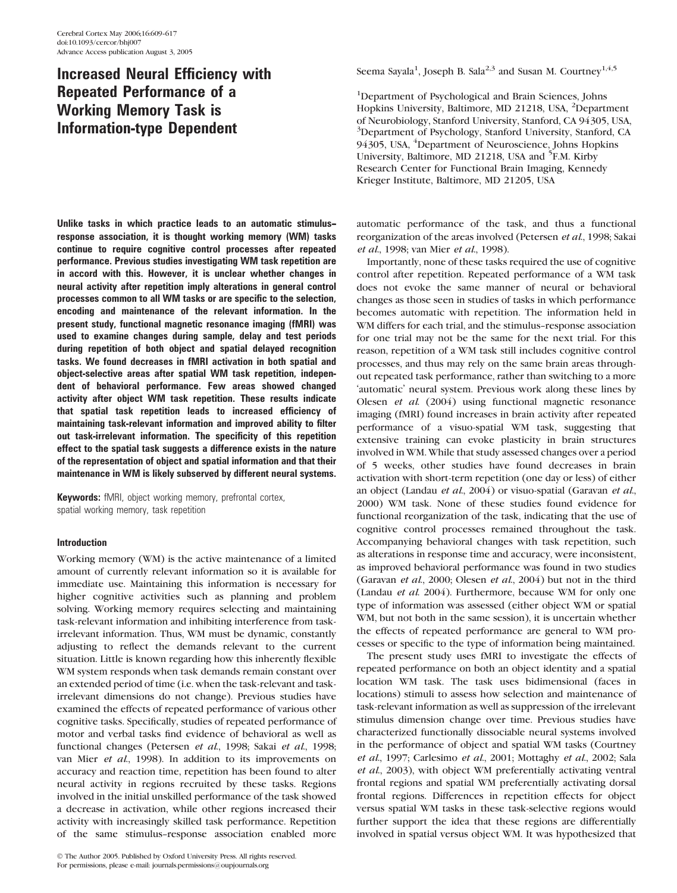# Increased Neural Efficiency with Repeated Performance of a Working Memory Task is Information-type Dependent

Unlike tasks in which practice leads to an automatic stimulus- response association, it is thought working memory (WM) tasks continue to require cognitive control processes after repeated performance. Previous studies investigating WM task repetition are in accord with this. However, it is unclear whether changes in neural activity after repetition imply alterations in general control processes common to all WM tasks or are specific to the selection, encoding and maintenance of the relevant information. In the present study, functional magnetic resonance imaging (fMRI) was used to examine changes during sample, delay and test periods during repetition of both object and spatial delayed recognition tasks. We found decreases in fMRI activation in both spatial and object-selective areas after spatial WM task repetition, independent of behavioral performance. Few areas showed changed activity after object WM task repetition. These results indicate that spatial task repetition leads to increased efficiency of maintaining task-relevant information and improved ability to filter out task-irrelevant information. The specificity of this repetition effect to the spatial task suggests a difference exists in the nature of the representation of object and spatial information and that their maintenance in WM is likely subserved by different neural systems.

Keywords: fMRI, object working memory, prefrontal cortex, spatial working memory, task repetition

# Introduction

Working memory (WM) is the active maintenance of a limited amount of currently relevant information so it is available for immediate use. Maintaining this information is necessary for higher cognitive activities such as planning and problem solving. Working memory requires selecting and maintaining task-relevant information and inhibiting interference from taskirrelevant information. Thus, WM must be dynamic, constantly adjusting to reflect the demands relevant to the current situation. Little is known regarding how this inherently flexible WM system responds when task demands remain constant over an extended period of time (i.e. when the task-relevant and taskirrelevant dimensions do not change). Previous studies have examined the effects of repeated performance of various other cognitive tasks. Specifically, studies of repeated performance of motor and verbal tasks find evidence of behavioral as well as functional changes (Petersen et al., 1998; Sakai et al., 1998; van Mier et al., 1998). In addition to its improvements on accuracy and reaction time, repetition has been found to alter neural activity in regions recruited by these tasks. Regions involved in the initial unskilled performance of the task showed a decrease in activation, while other regions increased their activity with increasingly skilled task performance. Repetition of the same stimulus--response association enabled more

Seema Sayala<sup>1</sup>, Joseph B. Sala<sup>2,3</sup> and Susan M. Courtney<sup>1,4,5</sup>

<sup>1</sup>Department of Psychological and Brain Sciences, Johns Hopkins University, Baltimore, MD 21218, USA, <sup>2</sup>Department of Neurobiology, Stanford University, Stanford, CA 94305, USA, 3 Department of Psychology, Stanford University, Stanford, CA 94305, USA, <sup>4</sup>Department of Neuroscience, Johns Hopkins University, Baltimore, MD 21218, USA and <sup>5</sup>F.M. Kirby Research Center for Functional Brain Imaging, Kennedy Krieger Institute, Baltimore, MD 21205, USA

automatic performance of the task, and thus a functional reorganization of the areas involved (Petersen et al., 1998; Sakai et al., 1998; van Mier et al., 1998).

Importantly, none of these tasks required the use of cognitive control after repetition. Repeated performance of a WM task does not evoke the same manner of neural or behavioral changes as those seen in studies of tasks in which performance becomes automatic with repetition. The information held in WM differs for each trial, and the stimulus-response association for one trial may not be the same for the next trial. For this reason, repetition of a WM task still includes cognitive control processes, and thus may rely on the same brain areas throughout repeated task performance, rather than switching to a more 'automatic' neural system. Previous work along these lines by Olesen et al. (2004) using functional magnetic resonance imaging (fMRI) found increases in brain activity after repeated performance of a visuo-spatial WM task, suggesting that extensive training can evoke plasticity in brain structures involved in WM. While that study assessed changes over a period of 5 weeks, other studies have found decreases in brain activation with short-term repetition (one day or less) of either an object (Landau et al., 2004) or visuo-spatial (Garavan et al., 2000) WM task. None of these studies found evidence for functional reorganization of the task, indicating that the use of cognitive control processes remained throughout the task. Accompanying behavioral changes with task repetition, such as alterations in response time and accuracy, were inconsistent, as improved behavioral performance was found in two studies (Garavan et al., 2000; Olesen et al., 2004) but not in the third (Landau et al. 2004). Furthermore, because WM for only one type of information was assessed (either object WM or spatial WM, but not both in the same session), it is uncertain whether the effects of repeated performance are general to WM processes or specific to the type of information being maintained.

The present study uses fMRI to investigate the effects of repeated performance on both an object identity and a spatial location WM task. The task uses bidimensional (faces in locations) stimuli to assess how selection and maintenance of task-relevant information as well as suppression of the irrelevant stimulus dimension change over time. Previous studies have characterized functionally dissociable neural systems involved in the performance of object and spatial WM tasks (Courtney et al., 1997; Carlesimo et al., 2001; Mottaghy et al., 2002; Sala et al., 2003), with object WM preferentially activating ventral frontal regions and spatial WM preferentially activating dorsal frontal regions. Differences in repetition effects for object versus spatial WM tasks in these task-selective regions would further support the idea that these regions are differentially involved in spatial versus object WM. It was hypothesized that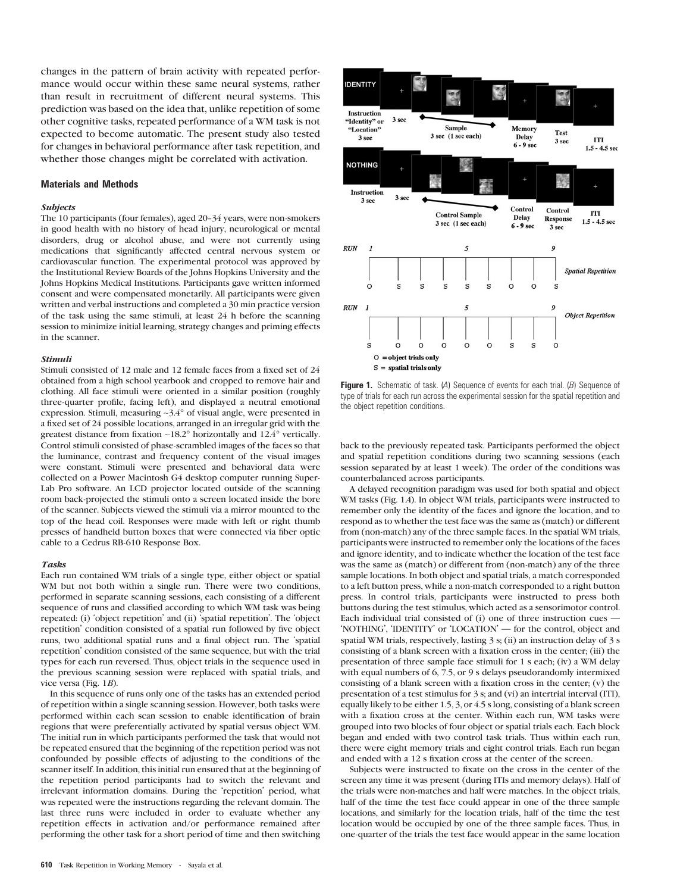changes in the pattern of brain activity with repeated performance would occur within these same neural systems, rather than result in recruitment of different neural systems. This prediction was based on the idea that, unlike repetition of some other cognitive tasks, repeated performance of a WM task is not expected to become automatic. The present study also tested for changes in behavioral performance after task repetition, and whether those changes might be correlated with activation.

#### Materials and Methods

#### Subjects

The 10 participants (four females), aged 20-34 years, were non-smokers in good health with no history of head injury, neurological or mental disorders, drug or alcohol abuse, and were not currently using medications that significantly affected central nervous system or cardiovascular function. The experimental protocol was approved by the Institutional Review Boards of the Johns Hopkins University and the Johns Hopkins Medical Institutions. Participants gave written informed consent and were compensated monetarily. All participants were given written and verbal instructions and completed a 30 min practice version of the task using the same stimuli, at least 24 h before the scanning session to minimize initial learning, strategy changes and priming effects in the scanner.

#### Stimuli

Stimuli consisted of 12 male and 12 female faces from a fixed set of 24 obtained from a high school yearbook and cropped to remove hair and clothing. All face stimuli were oriented in a similar position (roughly three-quarter profile, facing left), and displayed a neutral emotional expression. Stimuli, measuring  $\sim$ 3.4 $\degree$  of visual angle, were presented in a fixed set of 24 possible locations, arranged in an irregular grid with the greatest distance from fixation  $\sim 18.2^\circ$  horizontally and  $12.4^\circ$  vertically. Control stimuli consisted of phase-scrambled images of the faces so that the luminance, contrast and frequency content of the visual images were constant. Stimuli were presented and behavioral data were collected on a Power Macintosh G4 desktop computer running Super-Lab Pro software. An LCD projector located outside of the scanning room back-projected the stimuli onto a screen located inside the bore of the scanner. Subjects viewed the stimuli via a mirror mounted to the top of the head coil. Responses were made with left or right thumb presses of handheld button boxes that were connected via fiber optic cable to a Cedrus RB-610 Response Box.

#### Tasks

Each run contained WM trials of a single type, either object or spatial WM but not both within a single run. There were two conditions, performed in separate scanning sessions, each consisting of a different sequence of runs and classified according to which WM task was being repeated: (i) 'object repetition' and (ii) 'spatial repetition'. The 'object repetition' condition consisted of a spatial run followed by five object runs, two additional spatial runs and a final object run. The 'spatial repetition' condition consisted of the same sequence, but with the trial types for each run reversed. Thus, object trials in the sequence used in the previous scanning session were replaced with spatial trials, and vice versa (Fig. 1B).

In this sequence of runs only one of the tasks has an extended period of repetition within a single scanning session. However, both tasks were performed within each scan session to enable identification of brain regions that were preferentially activated by spatial versus object WM. The initial run in which participants performed the task that would not be repeated ensured that the beginning of the repetition period was not confounded by possible effects of adjusting to the conditions of the scanner itself. In addition, this initial run ensured that at the beginning of the repetition period participants had to switch the relevant and irrelevant information domains. During the 'repetition' period, what was repeated were the instructions regarding the relevant domain. The last three runs were included in order to evaluate whether any repetition effects in activation and/or performance remained after performing the other task for a short period of time and then switching



**Figure 1.** Schematic of task. (A) Sequence of events for each trial. (B) Sequence of type of trials for each run across the experimental session for the spatial repetition and the object repetition conditions.

back to the previously repeated task. Participants performed the object and spatial repetition conditions during two scanning sessions (each session separated by at least 1 week). The order of the conditions was counterbalanced across participants.

A delayed recognition paradigm was used for both spatial and object WM tasks (Fig. 1A). In object WM trials, participants were instructed to remember only the identity of the faces and ignore the location, and to respond as to whether the test face was the same as (match) or different from (non-match) any of the three sample faces. In the spatial WM trials, participants were instructed to remember only the locations of the faces and ignore identity, and to indicate whether the location of the test face was the same as (match) or different from (non-match) any of the three sample locations. In both object and spatial trials, a match corresponded to a left button press, while a non-match corresponded to a right button press. In control trials, participants were instructed to press both buttons during the test stimulus, which acted as a sensorimotor control. Each individual trial consisted of (i) one of three instruction cues -'NOTHING', 'IDENTITY' or 'LOCATION' — for the control, object and spatial WM trials, respectively, lasting 3 s; (ii) an instruction delay of 3 s consisting of a blank screen with a fixation cross in the center; (iii) the presentation of three sample face stimuli for 1 s each; (iv) a WM delay with equal numbers of 6, 7.5, or 9 s delays pseudorandomly intermixed consisting of a blank screen with a fixation cross in the center; (v) the presentation of a test stimulus for 3 s; and (vi) an intertrial interval (ITI), equally likely to be either 1.5, 3, or 4.5 s long, consisting of a blank screen with a fixation cross at the center. Within each run, WM tasks were grouped into two blocks of four object or spatial trials each. Each block began and ended with two control task trials. Thus within each run, there were eight memory trials and eight control trials. Each run began and ended with a 12 s fixation cross at the center of the screen.

Subjects were instructed to fixate on the cross in the center of the screen any time it was present (during ITIs and memory delays). Half of the trials were non-matches and half were matches. In the object trials, half of the time the test face could appear in one of the three sample locations, and similarly for the location trials, half of the time the test location would be occupied by one of the three sample faces. Thus, in one-quarter of the trials the test face would appear in the same location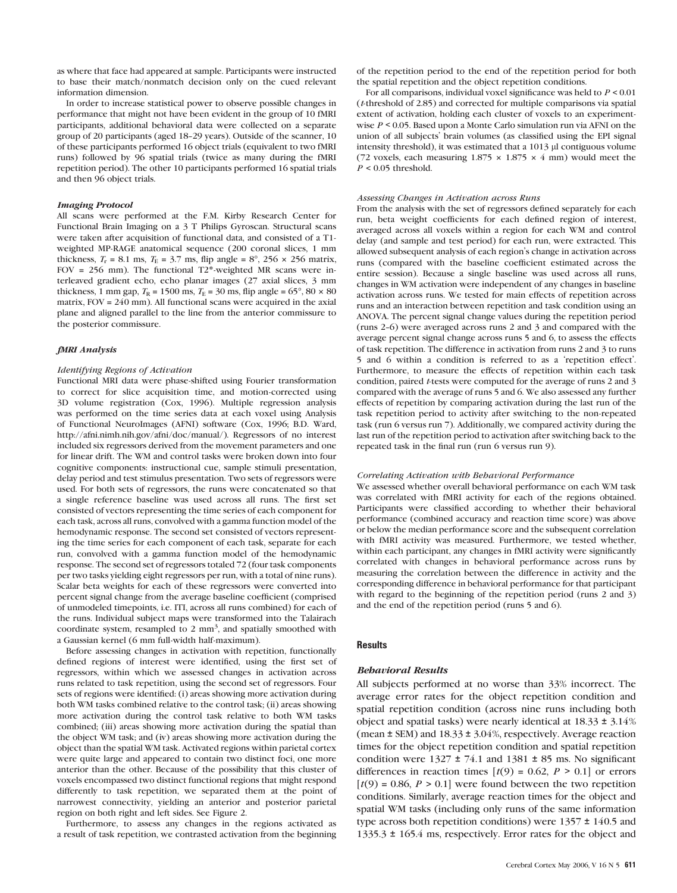as where that face had appeared at sample. Participants were instructed to base their match/nonmatch decision only on the cued relevant information dimension.

In order to increase statistical power to observe possible changes in performance that might not have been evident in the group of 10 fMRI participants, additional behavioral data were collected on a separate group of 20 participants (aged 18-29 years). Outside of the scanner, 10 of these participants performed 16 object trials (equivalent to two fMRI runs) followed by 96 spatial trials (twice as many during the fMRI repetition period). The other 10 participants performed 16 spatial trials and then 96 object trials.

#### Imaging Protocol

All scans were performed at the F.M. Kirby Research Center for Functional Brain Imaging on a 3 T Philips Gyroscan. Structural scans were taken after acquisition of functional data, and consisted of a T1 weighted MP-RAGE anatomical sequence (200 coronal slices, 1 mm thickness,  $T_r = 8.1$  ms,  $T_E = 3.7$  ms, flip angle =  $8^\circ$ , 256  $\times$  256 matrix, FOV = 256 mm). The functional T2*\**-weighted MR scans were interleaved gradient echo, echo planar images (27 axial slices, 3 mm thickness, 1 mm gap,  $T_R = 1500$  ms,  $T_E = 30$  ms, flip angle = 65°, 80  $\times$  80 matrix, FOV = 240 mm). All functional scans were acquired in the axial plane and aligned parallel to the line from the anterior commissure to the posterior commissure.

#### fMRI Analysis

#### Identifying Regions of Activation

Functional MRI data were phase-shifted using Fourier transformation to correct for slice acquisition time, and motion-corrected using 3D volume registration (Cox, 1996). Multiple regression analysis was performed on the time series data at each voxel using Analysis of Functional NeuroImages (AFNI) software (Cox, 1996; B.D. Ward, [http://afni.nimh.nih.gov/afni/doc/manual/\).](http://afni.nimh.nih.gov/afni/doc/manual/) Regressors of no interest included six regressors derived from the movement parameters and one for linear drift. The WM and control tasks were broken down into four cognitive components: instructional cue, sample stimuli presentation, delay period and test stimulus presentation. Two sets of regressors were used. For both sets of regressors, the runs were concatenated so that a single reference baseline was used across all runs. The first set consisted of vectors representing the time series of each component for each task, across all runs, convolved with a gamma function model of the hemodynamic response. The second set consisted of vectors representing the time series for each component of each task, separate for each run, convolved with a gamma function model of the hemodynamic response. The second set of regressors totaled 72 (four task components per two tasks yielding eight regressors per run, with a total of nine runs). Scalar beta weights for each of these regressors were converted into percent signal change from the average baseline coefficient (comprised of unmodeled timepoints, i.e. ITI, across all runs combined) for each of the runs. Individual subject maps were transformed into the Talairach coordinate system, resampled to  $2 \text{ mm}^3$ , and spatially smoothed with a Gaussian kernel (6 mm full-width half-maximum).

Before assessing changes in activation with repetition, functionally defined regions of interest were identified, using the first set of regressors, within which we assessed changes in activation across runs related to task repetition, using the second set of regressors. Four sets of regions were identified: (i) areas showing more activation during both WM tasks combined relative to the control task; (ii) areas showing more activation during the control task relative to both WM tasks combined; (iii) areas showing more activation during the spatial than the object WM task; and (iv) areas showing more activation during the object than the spatial WM task. Activated regions within parietal cortex were quite large and appeared to contain two distinct foci, one more anterior than the other. Because of the possibility that this cluster of voxels encompassed two distinct functional regions that might respond differently to task repetition, we separated them at the point of narrowest connectivity, yielding an anterior and posterior parietal region on both right and left sides. See Figure 2.

Furthermore, to assess any changes in the regions activated as a result of task repetition, we contrasted activation from the beginning of the repetition period to the end of the repetition period for both the spatial repetition and the object repetition conditions.

For all comparisons, individual voxel significance was held to  $P \le 0.01$ (t-threshold of 2.85) and corrected for multiple comparisons via spatial extent of activation, holding each cluster of voxels to an experimentwise  $P \leq 0.05$ . Based upon a Monte Carlo simulation run via AFNI on the union of all subjects' brain volumes (as classified using the EPI signal intensity threshold), it was estimated that a 1013 *l*l contiguous volume (72 voxels, each measuring  $1.875 \times 1.875 \times 4$  mm) would meet the  $P \leq 0.05$  threshold.

#### Assessing Changes in Activation across Runs

From the analysis with the set of regressors defined separately for each run, beta weight coefficients for each defined region of interest, averaged across all voxels within a region for each WM and control delay (and sample and test period) for each run, were extracted. This allowed subsequent analysis of each region's change in activation across runs (compared with the baseline coefficient estimated across the entire session). Because a single baseline was used across all runs, changes in WM activation were independent of any changes in baseline activation across runs. We tested for main effects of repetition across runs and an interaction between repetition and task condition using an ANOVA. The percent signal change values during the repetition period (runs 2-6) were averaged across runs 2 and 3 and compared with the average percent signal change across runs 5 and 6, to assess the effects of task repetition. The difference in activation from runs 2 and 3 to runs 5 and 6 within a condition is referred to as a 'repetition effect'. Furthermore, to measure the effects of repetition within each task condition, paired *t*-tests were computed for the average of runs 2 and 3 compared with the average of runs 5 and 6. We also assessed any further effects of repetition by comparing activation during the last run of the task repetition period to activity after switching to the non-repeated task (run 6 versus run 7). Additionally, we compared activity during the last run of the repetition period to activation after switching back to the repeated task in the final run (run 6 versus run 9).

#### Correlating Activation with Behavioral Performance

We assessed whether overall behavioral performance on each WM task was correlated with fMRI activity for each of the regions obtained. Participants were classified according to whether their behavioral performance (combined accuracy and reaction time score) was above or below the median performance score and the subsequent correlation with fMRI activity was measured. Furthermore, we tested whether, within each participant, any changes in fMRI activity were significantly correlated with changes in behavioral performance across runs by measuring the correlation between the difference in activity and the corresponding difference in behavioral performance for that participant with regard to the beginning of the repetition period (runs 2 and 3) and the end of the repetition period (runs 5 and 6).

### **Results**

### Behavioral Results

All subjects performed at no worse than 33% incorrect. The average error rates for the object repetition condition and spatial repetition condition (across nine runs including both object and spatial tasks) were nearly identical at 18.33 ± 3.14% (mean ± SEM) and 18.33 ± 3.04%, respectively. Average reaction times for the object repetition condition and spatial repetition condition were  $1327 \pm 74.1$  and  $1381 \pm 85$  ms. No significant differences in reaction times  $[t(9) = 0.62, P > 0.1]$  or errors  $[t(9) = 0.86, P > 0.1]$  were found between the two repetition conditions. Similarly, average reaction times for the object and spatial WM tasks (including only runs of the same information type across both repetition conditions) were  $1357 \pm 140.5$  and 1335.3 ± 165.4 ms, respectively. Error rates for the object and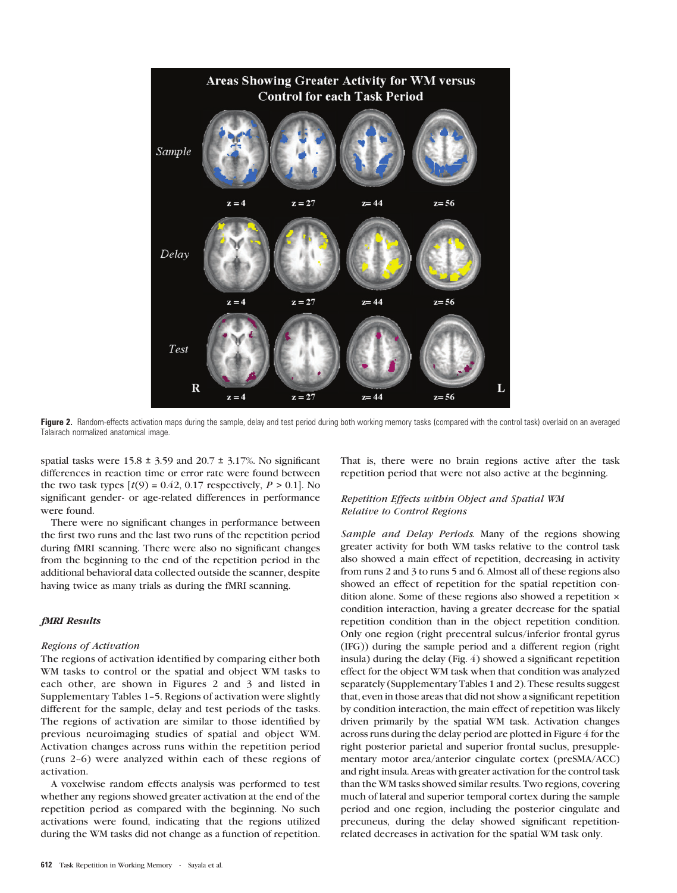

Figure 2. Random-effects activation maps during the sample, delay and test period during both working memory tasks (compared with the control task) overlaid on an averaged Talairach normalized anatomical image.

spatial tasks were  $15.8 \pm 3.59$  and  $20.7 \pm 3.17$ %. No significant differences in reaction time or error rate were found between the two task types  $[t(9) = 0.42, 0.17$  respectively,  $P > 0.1$ . No significant gender- or age-related differences in performance were found.

There were no significant changes in performance between the first two runs and the last two runs of the repetition period during fMRI scanning. There were also no significant changes from the beginning to the end of the repetition period in the additional behavioral data collected outside the scanner, despite having twice as many trials as during the fMRI scanning.

#### fMRI Results

#### Regions of Activation

The regions of activation identified by comparing either both WM tasks to control or the spatial and object WM tasks to each other, are shown in Figures 2 and 3 and listed in Supplementary Tables 1-5. Regions of activation were slightly different for the sample, delay and test periods of the tasks. The regions of activation are similar to those identified by previous neuroimaging studies of spatial and object WM. Activation changes across runs within the repetition period (runs 2-6) were analyzed within each of these regions of activation.

A voxelwise random effects analysis was performed to test whether any regions showed greater activation at the end of the repetition period as compared with the beginning. No such activations were found, indicating that the regions utilized during the WM tasks did not change as a function of repetition. That is, there were no brain regions active after the task repetition period that were not also active at the beginning.

# Repetition Effects within Object and Spatial WM Relative to Control Regions

Sample and Delay Periods. Many of the regions showing greater activity for both WM tasks relative to the control task also showed a main effect of repetition, decreasing in activity from runs 2 and 3 to runs 5 and 6. Almost all of these regions also showed an effect of repetition for the spatial repetition condition alone. Some of these regions also showed a repetition  $x$ condition interaction, having a greater decrease for the spatial repetition condition than in the object repetition condition. Only one region (right precentral sulcus/inferior frontal gyrus (IFG)) during the sample period and a different region (right insula) during the delay (Fig. 4) showed a significant repetition effect for the object WM task when that condition was analyzed separately (Supplementary Tables 1 and 2). These results suggest that, even in those areas that did not show a significant repetition by condition interaction, the main effect of repetition was likely driven primarily by the spatial WM task. Activation changes across runs during the delay period are plotted in Figure 4 for the right posterior parietal and superior frontal suclus, presupplementary motor area/anterior cingulate cortex (preSMA/ACC) and right insula. Areas with greater activation for the control task than the WM tasks showed similar results. Two regions, covering much of lateral and superior temporal cortex during the sample period and one region, including the posterior cingulate and precuneus, during the delay showed significant repetitionrelated decreases in activation for the spatial WM task only.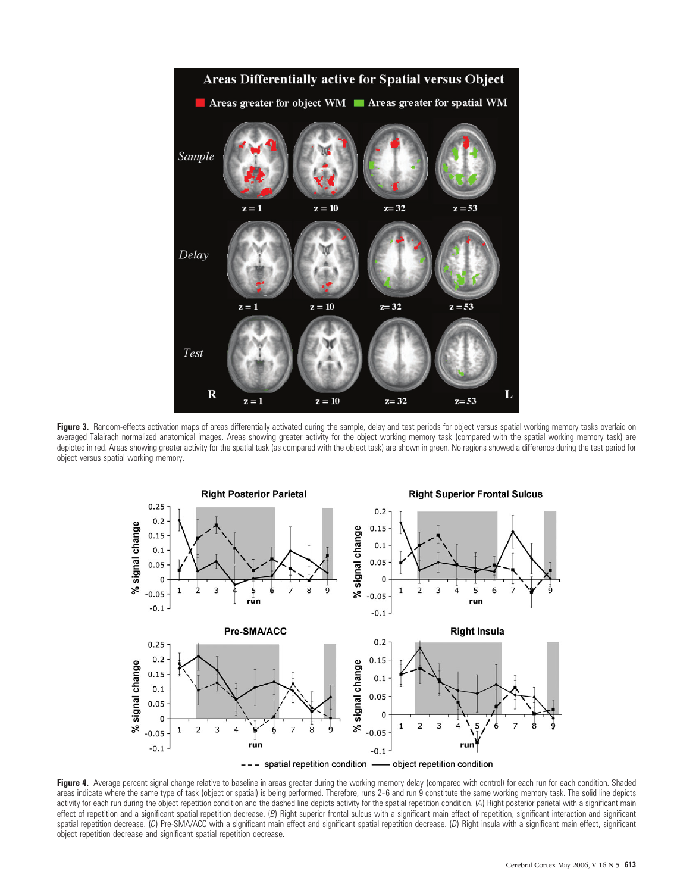

Figure 3. Random-effects activation maps of areas differentially activated during the sample, delay and test periods for object versus spatial working memory tasks overlaid on averaged Talairach normalized anatomical images. Areas showing greater activity for the object working memory task (compared with the spatial working memory task) are depicted in red. Areas showing greater activity for the spatial task (as compared with the object task) are shown in green. No regions showed a difference during the test period for object versus spatial working memory.



Figure 4. Average percent signal change relative to baseline in areas greater during the working memory delay (compared with control) for each run for each condition. Shaded areas indicate where the same type of task (object or spatial) is being performed. Therefore, runs 2-6 and run 9 constitute the same working memory task. The solid line depicts activity for each run during the object repetition condition and the dashed line depicts activity for the spatial repetition condition. (A) Right posterior parietal with a significant main effect of repetition and a significant spatial repetition decrease. (B) Right superior frontal sulcus with a significant main effect of repetition, significant interaction and significant spatial repetition decrease. (C) Pre-SMA/ACC with a significant main effect and significant spatial repetition decrease. (D) Right insula with a significant main effect, significant object repetition decrease and significant spatial repetition decrease.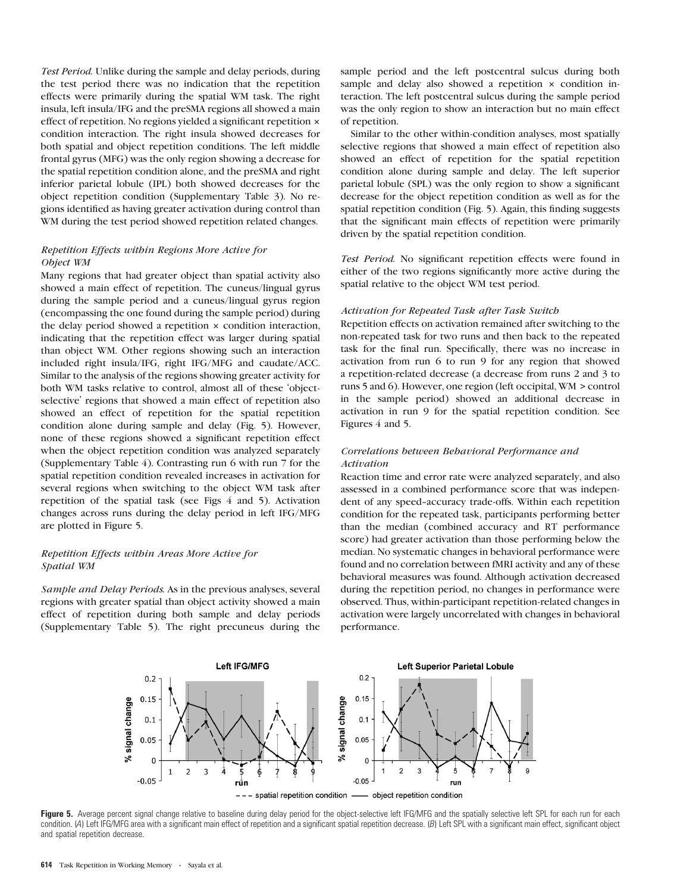Test Period. Unlike during the sample and delay periods, during the test period there was no indication that the repetition effects were primarily during the spatial WM task. The right insula, left insula/IFG and the preSMA regions all showed a main effect of repetition. No regions yielded a significant repetition  $\times$ condition interaction. The right insula showed decreases for both spatial and object repetition conditions. The left middle frontal gyrus (MFG) was the only region showing a decrease for the spatial repetition condition alone, and the preSMA and right inferior parietal lobule (IPL) both showed decreases for the object repetition condition (Supplementary Table 3). No regions identified as having greater activation during control than WM during the test period showed repetition related changes.

# Repetition Effects within Regions More Active for Object WM

Many regions that had greater object than spatial activity also showed a main effect of repetition. The cuneus/lingual gyrus during the sample period and a cuneus/lingual gyrus region (encompassing the one found during the sample period) during the delay period showed a repetition  $\times$  condition interaction, indicating that the repetition effect was larger during spatial than object WM. Other regions showing such an interaction included right insula/IFG, right IFG/MFG and caudate/ACC. Similar to the analysis of the regions showing greater activity for both WM tasks relative to control, almost all of these 'objectselective' regions that showed a main effect of repetition also showed an effect of repetition for the spatial repetition condition alone during sample and delay (Fig. 5). However, none of these regions showed a significant repetition effect when the object repetition condition was analyzed separately (Supplementary Table 4). Contrasting run 6 with run 7 for the spatial repetition condition revealed increases in activation for several regions when switching to the object WM task after repetition of the spatial task (see Figs 4 and 5). Activation changes across runs during the delay period in left IFG/MFG are plotted in Figure 5.

# Repetition Effects within Areas More Active for Spatial WM

Sample and Delay Periods. As in the previous analyses, several regions with greater spatial than object activity showed a main effect of repetition during both sample and delay periods (Supplementary Table 5). The right precuneus during the sample period and the left postcentral sulcus during both sample and delay also showed a repetition  $\times$  condition interaction. The left postcentral sulcus during the sample period was the only region to show an interaction but no main effect of repetition.

Similar to the other within-condition analyses, most spatially selective regions that showed a main effect of repetition also showed an effect of repetition for the spatial repetition condition alone during sample and delay. The left superior parietal lobule (SPL) was the only region to show a significant decrease for the object repetition condition as well as for the spatial repetition condition (Fig. 5). Again, this finding suggests that the significant main effects of repetition were primarily driven by the spatial repetition condition.

Test Period. No significant repetition effects were found in either of the two regions significantly more active during the spatial relative to the object WM test period.

# Activation for Repeated Task after Task Switch

Repetition effects on activation remained after switching to the non-repeated task for two runs and then back to the repeated task for the final run. Specifically, there was no increase in activation from run 6 to run 9 for any region that showed a repetition-related decrease (a decrease from runs 2 and 3 to runs 5 and 6). However, one region (left occipital, WM > control in the sample period) showed an additional decrease in activation in run 9 for the spatial repetition condition. See Figures 4 and 5.

# Correlations between Behavioral Performance and Activation

Reaction time and error rate were analyzed separately, and also assessed in a combined performance score that was independent of any speed--accuracy trade-offs. Within each repetition condition for the repeated task, participants performing better than the median (combined accuracy and RT performance score) had greater activation than those performing below the median. No systematic changes in behavioral performance were found and no correlation between fMRI activity and any of these behavioral measures was found. Although activation decreased during the repetition period, no changes in performance were observed. Thus, within-participant repetition-related changes in activation were largely uncorrelated with changes in behavioral performance.



Figure 5. Average percent signal change relative to baseline during delay period for the object-selective left IFG/MFG and the spatially selective left SPL for each run for each condition. (A) Left IFG/MFG area with a significant main effect of repetition and a significant spatial repetition decrease. (B) Left SPL with a significant main effect, significant object and spatial repetition decrease.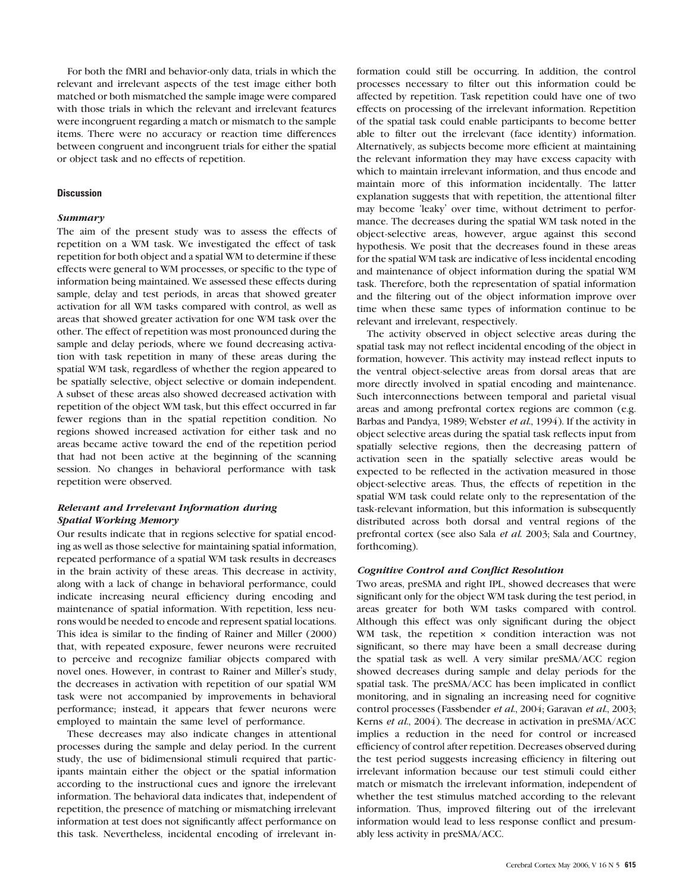For both the fMRI and behavior-only data, trials in which the relevant and irrelevant aspects of the test image either both matched or both mismatched the sample image were compared with those trials in which the relevant and irrelevant features were incongruent regarding a match or mismatch to the sample items. There were no accuracy or reaction time differences between congruent and incongruent trials for either the spatial or object task and no effects of repetition.

### **Discussion**

### Summary

The aim of the present study was to assess the effects of repetition on a WM task. We investigated the effect of task repetition for both object and a spatial WM to determine if these effects were general to WM processes, or specific to the type of information being maintained. We assessed these effects during sample, delay and test periods, in areas that showed greater activation for all WM tasks compared with control, as well as areas that showed greater activation for one WM task over the other. The effect of repetition was most pronounced during the sample and delay periods, where we found decreasing activation with task repetition in many of these areas during the spatial WM task, regardless of whether the region appeared to be spatially selective, object selective or domain independent. A subset of these areas also showed decreased activation with repetition of the object WM task, but this effect occurred in far fewer regions than in the spatial repetition condition. No regions showed increased activation for either task and no areas became active toward the end of the repetition period that had not been active at the beginning of the scanning session. No changes in behavioral performance with task repetition were observed.

# Relevant and Irrelevant Information during Spatial Working Memory

Our results indicate that in regions selective for spatial encoding as well as those selective for maintaining spatial information, repeated performance of a spatial WM task results in decreases in the brain activity of these areas. This decrease in activity, along with a lack of change in behavioral performance, could indicate increasing neural efficiency during encoding and maintenance of spatial information. With repetition, less neurons would be needed to encode and represent spatial locations. This idea is similar to the finding of Rainer and Miller (2000) that, with repeated exposure, fewer neurons were recruited to perceive and recognize familiar objects compared with novel ones. However, in contrast to Rainer and Miller's study, the decreases in activation with repetition of our spatial WM task were not accompanied by improvements in behavioral performance; instead, it appears that fewer neurons were employed to maintain the same level of performance.

These decreases may also indicate changes in attentional processes during the sample and delay period. In the current study, the use of bidimensional stimuli required that participants maintain either the object or the spatial information according to the instructional cues and ignore the irrelevant information. The behavioral data indicates that, independent of repetition, the presence of matching or mismatching irrelevant information at test does not significantly affect performance on this task. Nevertheless, incidental encoding of irrelevant information could still be occurring. In addition, the control processes necessary to filter out this information could be affected by repetition. Task repetition could have one of two effects on processing of the irrelevant information. Repetition of the spatial task could enable participants to become better able to filter out the irrelevant (face identity) information. Alternatively, as subjects become more efficient at maintaining the relevant information they may have excess capacity with which to maintain irrelevant information, and thus encode and maintain more of this information incidentally. The latter explanation suggests that with repetition, the attentional filter may become 'leaky' over time, without detriment to performance. The decreases during the spatial WM task noted in the object-selective areas, however, argue against this second hypothesis. We posit that the decreases found in these areas for the spatial WM task are indicative of less incidental encoding and maintenance of object information during the spatial WM task. Therefore, both the representation of spatial information and the filtering out of the object information improve over time when these same types of information continue to be relevant and irrelevant, respectively.

The activity observed in object selective areas during the spatial task may not reflect incidental encoding of the object in formation, however. This activity may instead reflect inputs to the ventral object-selective areas from dorsal areas that are more directly involved in spatial encoding and maintenance. Such interconnections between temporal and parietal visual areas and among prefrontal cortex regions are common (e.g. Barbas and Pandya, 1989; Webster et al., 1994). If the activity in object selective areas during the spatial task reflects input from spatially selective regions, then the decreasing pattern of activation seen in the spatially selective areas would be expected to be reflected in the activation measured in those object-selective areas. Thus, the effects of repetition in the spatial WM task could relate only to the representation of the task-relevant information, but this information is subsequently distributed across both dorsal and ventral regions of the prefrontal cortex (see also Sala et al. 2003; Sala and Courtney, forthcoming).

# Cognitive Control and Conflict Resolution

Two areas, preSMA and right IPL, showed decreases that were significant only for the object WM task during the test period, in areas greater for both WM tasks compared with control. Although this effect was only significant during the object WM task, the repetition  $\times$  condition interaction was not significant, so there may have been a small decrease during the spatial task as well. A very similar preSMA/ACC region showed decreases during sample and delay periods for the spatial task. The preSMA/ACC has been implicated in conflict monitoring, and in signaling an increasing need for cognitive control processes (Fassbender et al., 2004; Garavan et al., 2003; Kerns et al., 2004). The decrease in activation in preSMA/ACC implies a reduction in the need for control or increased efficiency of control after repetition. Decreases observed during the test period suggests increasing efficiency in filtering out irrelevant information because our test stimuli could either match or mismatch the irrelevant information, independent of whether the test stimulus matched according to the relevant information. Thus, improved filtering out of the irrelevant information would lead to less response conflict and presumably less activity in preSMA/ACC.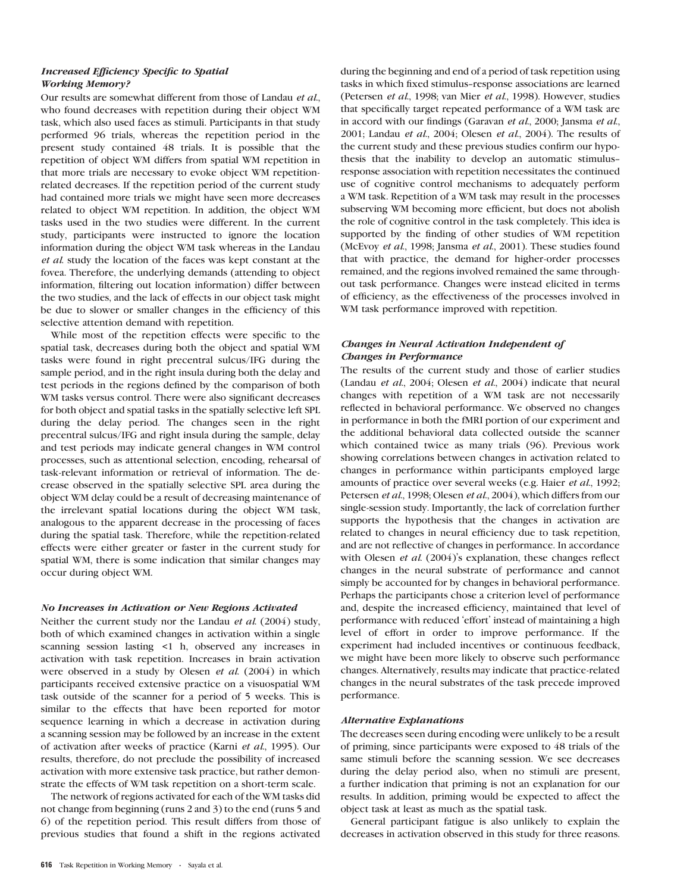# Increased Efficiency Specific to Spatial Working Memory?

Our results are somewhat different from those of Landau et al., who found decreases with repetition during their object WM task, which also used faces as stimuli. Participants in that study performed 96 trials, whereas the repetition period in the present study contained 48 trials. It is possible that the repetition of object WM differs from spatial WM repetition in that more trials are necessary to evoke object WM repetitionrelated decreases. If the repetition period of the current study had contained more trials we might have seen more decreases related to object WM repetition. In addition, the object WM tasks used in the two studies were different. In the current study, participants were instructed to ignore the location information during the object WM task whereas in the Landau et al. study the location of the faces was kept constant at the fovea. Therefore, the underlying demands (attending to object information, filtering out location information) differ between the two studies, and the lack of effects in our object task might be due to slower or smaller changes in the efficiency of this selective attention demand with repetition.

While most of the repetition effects were specific to the spatial task, decreases during both the object and spatial WM tasks were found in right precentral sulcus/IFG during the sample period, and in the right insula during both the delay and test periods in the regions defined by the comparison of both WM tasks versus control. There were also significant decreases for both object and spatial tasks in the spatially selective left SPL during the delay period. The changes seen in the right precentral sulcus/IFG and right insula during the sample, delay and test periods may indicate general changes in WM control processes, such as attentional selection, encoding, rehearsal of task-relevant information or retrieval of information. The decrease observed in the spatially selective SPL area during the object WM delay could be a result of decreasing maintenance of the irrelevant spatial locations during the object WM task, analogous to the apparent decrease in the processing of faces during the spatial task. Therefore, while the repetition-related effects were either greater or faster in the current study for spatial WM, there is some indication that similar changes may occur during object WM.

#### No Increases in Activation or New Regions Activated

Neither the current study nor the Landau et al. (2004) study, both of which examined changes in activation within a single scanning session lasting <1 h, observed any increases in activation with task repetition. Increases in brain activation were observed in a study by Olesen et al. (2004) in which participants received extensive practice on a visuospatial WM task outside of the scanner for a period of 5 weeks. This is similar to the effects that have been reported for motor sequence learning in which a decrease in activation during a scanning session may be followed by an increase in the extent of activation after weeks of practice (Karni et al., 1995). Our results, therefore, do not preclude the possibility of increased activation with more extensive task practice, but rather demonstrate the effects of WM task repetition on a short-term scale.

The network of regions activated for each of the WM tasks did not change from beginning (runs 2 and 3) to the end (runs 5 and 6) of the repetition period. This result differs from those of previous studies that found a shift in the regions activated during the beginning and end of a period of task repetition using tasks in which fixed stimulus--response associations are learned (Petersen et al., 1998; van Mier et al., 1998). However, studies that specifically target repeated performance of a WM task are in accord with our findings (Garavan et al., 2000; Jansma et al., 2001; Landau et al., 2004; Olesen et al., 2004). The results of the current study and these previous studies confirm our hypothesis that the inability to develop an automatic stimulus- response association with repetition necessitates the continued use of cognitive control mechanisms to adequately perform a WM task. Repetition of a WM task may result in the processes subserving WM becoming more efficient, but does not abolish the role of cognitive control in the task completely. This idea is supported by the finding of other studies of WM repetition (McEvoy et al., 1998; Jansma et al., 2001). These studies found that with practice, the demand for higher-order processes remained, and the regions involved remained the same throughout task performance. Changes were instead elicited in terms of efficiency, as the effectiveness of the processes involved in WM task performance improved with repetition.

# Changes in Neural Activation Independent of Changes in Performance

The results of the current study and those of earlier studies (Landau et al., 2004; Olesen et al., 2004) indicate that neural changes with repetition of a WM task are not necessarily reflected in behavioral performance. We observed no changes in performance in both the fMRI portion of our experiment and the additional behavioral data collected outside the scanner which contained twice as many trials (96). Previous work showing correlations between changes in activation related to changes in performance within participants employed large amounts of practice over several weeks (e.g. Haier et al., 1992; Petersen et al., 1998; Olesen et al., 2004), which differs from our single-session study. Importantly, the lack of correlation further supports the hypothesis that the changes in activation are related to changes in neural efficiency due to task repetition, and are not reflective of changes in performance. In accordance with Olesen et al. (2004)'s explanation, these changes reflect changes in the neural substrate of performance and cannot simply be accounted for by changes in behavioral performance. Perhaps the participants chose a criterion level of performance and, despite the increased efficiency, maintained that level of performance with reduced 'effort' instead of maintaining a high level of effort in order to improve performance. If the experiment had included incentives or continuous feedback, we might have been more likely to observe such performance changes. Alternatively, results may indicate that practice-related changes in the neural substrates of the task precede improved performance.

## Alternative Explanations

The decreases seen during encoding were unlikely to be a result of priming, since participants were exposed to 48 trials of the same stimuli before the scanning session. We see decreases during the delay period also, when no stimuli are present, a further indication that priming is not an explanation for our results. In addition, priming would be expected to affect the object task at least as much as the spatial task.

General participant fatigue is also unlikely to explain the decreases in activation observed in this study for three reasons.